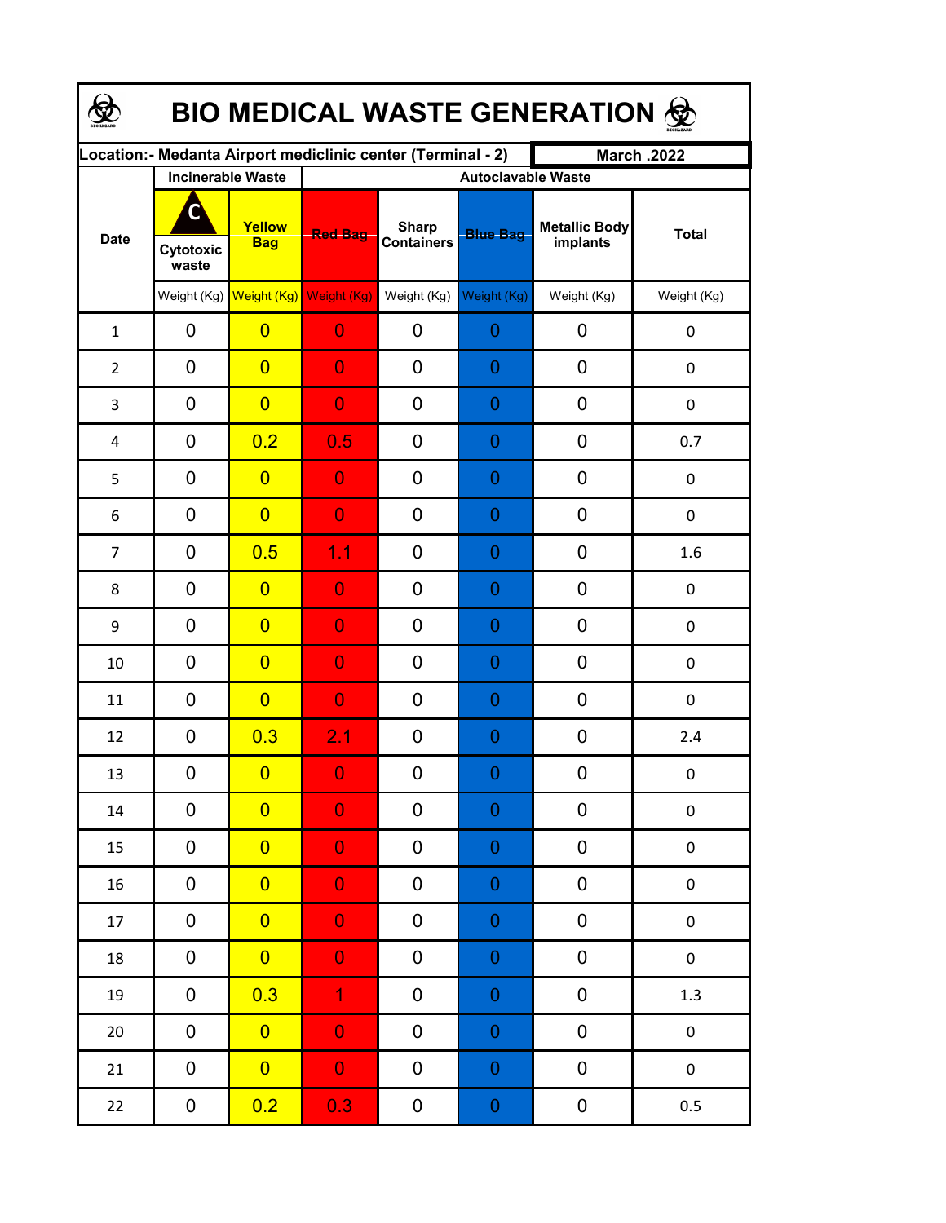| BIO MEDICAL WASTE GENERATION & |                                                     |                         |                                                              |                                   |                                              |                                  |                  |  |  |  |
|--------------------------------|-----------------------------------------------------|-------------------------|--------------------------------------------------------------|-----------------------------------|----------------------------------------------|----------------------------------|------------------|--|--|--|
|                                |                                                     |                         | Location: - Medanta Airport mediclinic center (Terminal - 2) |                                   |                                              | <b>March .2022</b>               |                  |  |  |  |
| <b>Date</b>                    | <b>Incinerable Waste</b><br>C<br>Cytotoxic<br>waste | Yellow<br><b>Bag</b>    | <b>Red Bag</b>                                               | <b>Sharp</b><br><b>Containers</b> | <b>Autoclavable Waste</b><br><b>Blue Bag</b> | <b>Metallic Body</b><br>implants | <b>Total</b>     |  |  |  |
|                                | Weight (Kg)                                         | Weight (Kg) Weight (Kg) |                                                              | Weight (Kg)                       | Weight (Kg)                                  | Weight (Kg)                      | Weight (Kg)      |  |  |  |
| $\mathbf{1}$                   | $\mathbf 0$                                         | $\overline{0}$          | $\overline{0}$                                               | 0                                 | $\mathbf 0$                                  | 0                                | $\boldsymbol{0}$ |  |  |  |
| $\overline{2}$                 | $\overline{0}$                                      | $\overline{0}$          | $\overline{0}$                                               | 0                                 | $\overline{0}$                               | 0                                | $\boldsymbol{0}$ |  |  |  |
| 3                              | $\mathbf 0$                                         | $\overline{0}$          | $\overline{0}$                                               | 0                                 | $\overline{0}$                               | 0                                | $\boldsymbol{0}$ |  |  |  |
| 4                              | $\mathbf 0$                                         | 0.2                     | 0.5                                                          | 0                                 | $\overline{0}$                               | 0                                | 0.7              |  |  |  |
| 5                              | 0                                                   | $\overline{0}$          | $\overline{0}$                                               | 0                                 | $\overline{0}$                               | 0                                | $\boldsymbol{0}$ |  |  |  |
| 6                              | 0                                                   | $\overline{0}$          | $\overline{0}$                                               | 0                                 | $\overline{0}$                               | 0                                | $\boldsymbol{0}$ |  |  |  |
| $\overline{7}$                 | 0                                                   | 0.5                     | 1.1                                                          | 0                                 | $\overline{0}$                               | 0                                | 1.6              |  |  |  |
| 8                              | 0                                                   | $\overline{0}$          | $\overline{0}$                                               | 0                                 | $\overline{0}$                               | 0                                | $\boldsymbol{0}$ |  |  |  |
| 9                              | 0                                                   | $\overline{0}$          | $\overline{0}$                                               | 0                                 | $\overline{0}$                               | 0                                | 0                |  |  |  |
| 10                             | $\mathbf 0$                                         | $\overline{0}$          | $\overline{0}$                                               | 0                                 | $\overline{0}$                               | 0                                | $\boldsymbol{0}$ |  |  |  |
| 11                             | $\mathbf 0$                                         | $\overline{0}$          | $\overline{0}$                                               | 0                                 | $\overline{0}$                               | 0                                | $\boldsymbol{0}$ |  |  |  |
| 12                             | 0                                                   | 0.3                     | 2.1                                                          | 0                                 | $\overline{0}$                               | 0                                | 2.4              |  |  |  |
| 13                             | 0                                                   | $\overline{\mathbf{0}}$ | $\Omega$                                                     | $\boldsymbol{0}$                  | $\Omega$                                     | $\boldsymbol{0}$                 | $\boldsymbol{0}$ |  |  |  |
| $14\,$                         | 0                                                   | $\overline{0}$          | $\overline{0}$                                               | 0                                 | $\boldsymbol{0}$                             | $\boldsymbol{0}$                 | $\pmb{0}$        |  |  |  |
| 15                             | 0                                                   | $\overline{0}$          | $\overline{0}$                                               | 0                                 | $\boldsymbol{0}$                             | $\pmb{0}$                        | $\pmb{0}$        |  |  |  |
| 16                             | $\pmb{0}$                                           | $\overline{0}$          | $\mathbf 0$                                                  | 0                                 | $\boldsymbol{0}$                             | $\pmb{0}$                        | $\pmb{0}$        |  |  |  |
| 17                             | $\pmb{0}$                                           | $\overline{0}$          | $\mathbf 0$                                                  | 0                                 | $\boldsymbol{0}$                             | ${\bf 0}$                        | $\pmb{0}$        |  |  |  |
| 18                             | $\pmb{0}$                                           | $\overline{0}$          | $\overline{0}$                                               | 0                                 | $\boldsymbol{0}$                             | ${\bf 0}$                        | $\pmb{0}$        |  |  |  |
| 19                             | $\pmb{0}$                                           | 0.3                     | $\overline{1}$                                               | 0                                 | $\boldsymbol{0}$                             | $\pmb{0}$                        | $1.3\,$          |  |  |  |
| $20\,$                         | $\pmb{0}$                                           | $\overline{0}$          | $\overline{0}$                                               | 0                                 | $\overline{0}$                               | $\pmb{0}$                        | $\pmb{0}$        |  |  |  |
| 21                             | $\mathbf 0$                                         | $\overline{0}$          | $\overline{0}$                                               | 0                                 | $\overline{0}$                               | $\pmb{0}$                        | $\boldsymbol{0}$ |  |  |  |
| 22                             | $\boldsymbol{0}$                                    | 0.2                     | 0.3                                                          | 0                                 | $\overline{0}$                               | $\pmb{0}$                        | 0.5              |  |  |  |